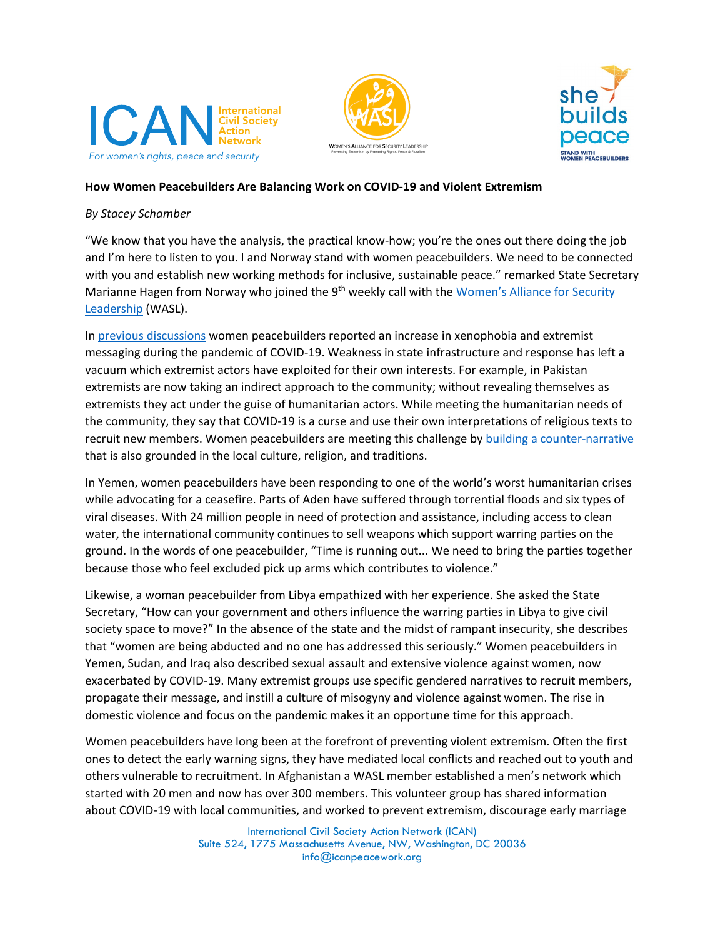





## **How Women Peacebuilders Are Balancing Work on COVID-19 and Violent Extremism**

## *By Stacey Schamber*

"We know that you have the analysis, the practical know-how; you're the ones out there doing the job and I'm here to listen to you. I and Norway stand with women peacebuilders. We need to be connected with you and establish new working methods for inclusive, sustainable peace." remarked State Secretary Marianne Hagen from Norway who joined the 9<sup>th</sup> weekly call with the Women's Alliance for Security [Leadership](http://www.icanpeacework.org/our-work/womens-alliance-for-security-leadership/) (WASL).

In [previous discussions](https://icanpeacework.org/2020/04/23/how-are-women-peacebuilders-responding-to-covid-19-2/#How-is-the%20pandemic-exacerbating-xenophobia-and-extremisms?) women peacebuilders reported an increase in xenophobia and extremist messaging during the pandemic of COVID-19. Weakness in state infrastructure and response has left a vacuum which extremist actors have exploited for their own interests. For example, in Pakistan extremists are now taking an indirect approach to the community; without revealing themselves as extremists they act under the guise of humanitarian actors. While meeting the humanitarian needs of the community, they say that COVID-19 is a curse and use their own interpretations of religious texts to recruit new members. Women peacebuilders are meeting this challenge by building [a counter-narrative](https://icanpeacework.org/2017/07/18/bushra-qadeem-hyder-pakistan/) that is also grounded in the local culture, religion, and traditions.

In Yemen, women peacebuilders have been responding to one of the world's worst humanitarian crises while advocating for a ceasefire. Parts of Aden have suffered through torrential floods and six types of viral diseases. With 24 million people in need of protection and assistance, including access to clean water, the international community continues to sell weapons which support warring parties on the ground. In the words of one peacebuilder, "Time is running out... We need to bring the parties together because those who feel excluded pick up arms which contributes to violence."

Likewise, a woman peacebuilder from Libya empathized with her experience. She asked the State Secretary, "How can your government and others influence the warring parties in Libya to give civil society space to move?" In the absence of the state and the midst of rampant insecurity, she describes that "women are being abducted and no one has addressed this seriously." Women peacebuilders in Yemen, Sudan, and Iraq also described sexual assault and extensive violence against women, now exacerbated by COVID-19. Many extremist groups use specific gendered narratives to recruit members, propagate their message, and instill a culture of misogyny and violence against women. The rise in domestic violence and focus on the pandemic makes it an opportune time for this approach.

Women peacebuilders have long been at the forefront of preventing violent extremism. Often the first ones to detect the early warning signs, they have mediated local conflicts and reached out to youth and others vulnerable to recruitment. In Afghanistan a WASL member established a men's network which started with 20 men and now has over 300 members. This volunteer group has shared information about COVID-19 with local communities, and worked to prevent extremism, discourage early marriage